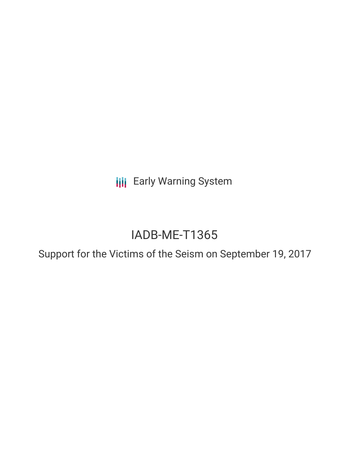**III** Early Warning System

# IADB-ME-T1365

Support for the Victims of the Seism on September 19, 2017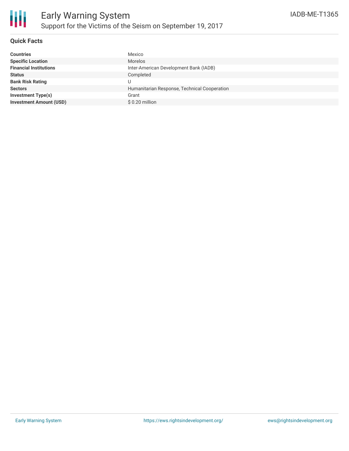

## **Quick Facts**

| <b>Countries</b>               | Mexico                                       |
|--------------------------------|----------------------------------------------|
| <b>Specific Location</b>       | <b>Morelos</b>                               |
| <b>Financial Institutions</b>  | Inter-American Development Bank (IADB)       |
| <b>Status</b>                  | Completed                                    |
| <b>Bank Risk Rating</b>        |                                              |
| <b>Sectors</b>                 | Humanitarian Response, Technical Cooperation |
| <b>Investment Type(s)</b>      | Grant                                        |
| <b>Investment Amount (USD)</b> | \$0.20 million                               |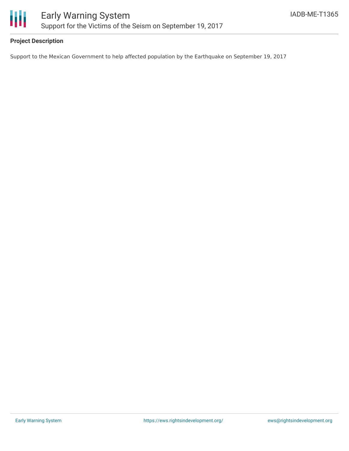

## **Project Description**

Support to the Mexican Government to help affected population by the Earthquake on September 19, 2017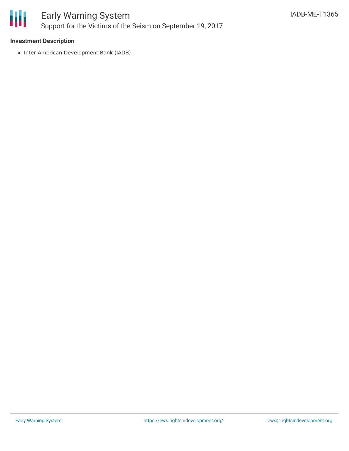

## **Investment Description**

• Inter-American Development Bank (IADB)